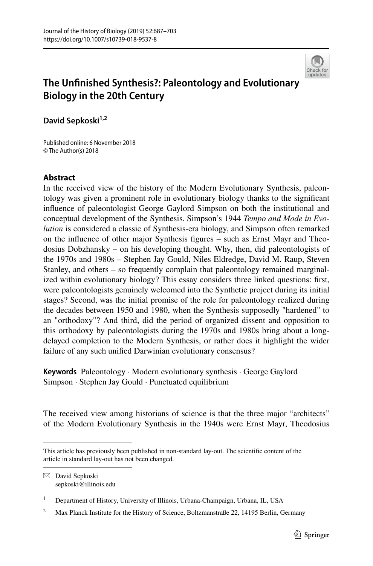

# **The Unfnished Synthesis?: Paleontology and Evolutionary Biology in the 20th Century**

**David Sepkoski1,2**

Published online: 6 November 2018 © The Author(s) 2018

### **Abstract**

In the received view of the history of the Modern Evolutionary Synthesis, paleontology was given a prominent role in evolutionary biology thanks to the signifcant infuence of paleontologist George Gaylord Simpson on both the institutional and conceptual development of the Synthesis. Simpson's 1944 *Tempo and Mode in Evolution* is considered a classic of Synthesis-era biology, and Simpson often remarked on the infuence of other major Synthesis fgures – such as Ernst Mayr and Theodosius Dobzhansky – on his developing thought. Why, then, did paleontologists of the 1970s and 1980s – Stephen Jay Gould, Niles Eldredge, David M. Raup, Steven Stanley, and others – so frequently complain that paleontology remained marginalized within evolutionary biology? This essay considers three linked questions: frst, were paleontologists genuinely welcomed into the Synthetic project during its initial stages? Second, was the initial promise of the role for paleontology realized during the decades between 1950 and 1980, when the Synthesis supposedly "hardened" to an "orthodoxy"? And third, did the period of organized dissent and opposition to this orthodoxy by paleontologists during the 1970s and 1980s bring about a longdelayed completion to the Modern Synthesis, or rather does it highlight the wider failure of any such unifed Darwinian evolutionary consensus?

**Keywords** Paleontology · Modern evolutionary synthesis · George Gaylord Simpson · Stephen Jay Gould · Punctuated equilibrium

The received view among historians of science is that the three major "architects" of the Modern Evolutionary Synthesis in the 1940s were Ernst Mayr, Theodosius

 $\boxtimes$  David Sepkoski sepkoski@illinois.edu

This article has previously been published in non-standard lay-out. The scientifc content of the article in standard lay-out has not been changed.

<sup>&</sup>lt;sup>1</sup> Department of History, University of Illinois, Urbana-Champaign, Urbana, IL, USA

<sup>&</sup>lt;sup>2</sup> Max Planck Institute for the History of Science, Boltzmanstraße 22, 14195 Berlin, Germany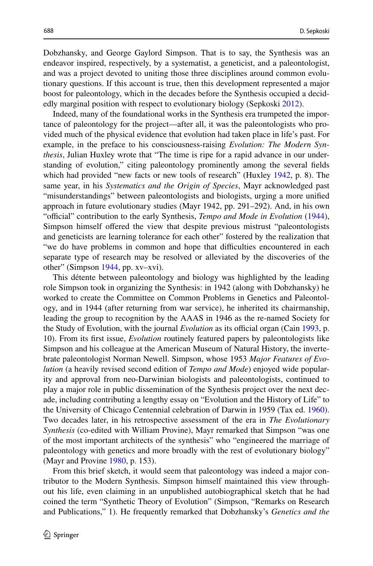Dobzhansky, and George Gaylord Simpson. That is to say, the Synthesis was an endeavor inspired, respectively, by a systematist, a geneticist, and a paleontologist, and was a project devoted to uniting those three disciplines around common evolutionary questions. If this account is true, then this development represented a major boost for paleontology, which in the decades before the Synthesis occupied a decidedly marginal position with respect to evolutionary biology (Sepkoski [2012\)](#page-16-0).

Indeed, many of the foundational works in the Synthesis era trumpeted the importance of paleontology for the project—after all, it was the paleontologists who provided much of the physical evidence that evolution had taken place in life's past. For example, in the preface to his consciousness-raising *Evolution: The Modern Synthesis*, Julian Huxley wrote that "The time is ripe for a rapid advance in our understanding of evolution," citing paleontology prominently among the several felds which had provided "new facts or new tools of research" (Huxley [1942](#page-15-0), p. 8). The same year, in his *Systematics and the Origin of Species*, Mayr acknowledged past "misunderstandings" between paleontologists and biologists, urging a more unifed approach in future evolutionary studies (Mayr 1942, pp. 291–292). And, in his own "official" contribution to the early Synthesis, *Tempo and Mode in Evolution* ([1944\)](#page-16-1), Simpson himself ofered the view that despite previous mistrust "paleontologists and geneticists are learning tolerance for each other" fostered by the realization that "we do have problems in common and hope that difculties encountered in each separate type of research may be resolved or alleviated by the discoveries of the other" (Simpson [1944](#page-16-1), pp. xv–xvi).

This détente between paleontology and biology was highlighted by the leading role Simpson took in organizing the Synthesis: in 1942 (along with Dobzhansky) he worked to create the Committee on Common Problems in Genetics and Paleontology, and in 1944 (after returning from war service), he inherited its chairmanship, leading the group to recognition by the AAAS in 1946 as the re-named Society for the Study of Evolution, with the journal *Evolution* as its official organ (Cain [1993,](#page-15-1) p. 10). From its frst issue, *Evolution* routinely featured papers by paleontologists like Simpson and his colleague at the American Museum of Natural History, the invertebrate paleontologist Norman Newell. Simpson, whose 1953 *Major Features of Evolution* (a heavily revised second edition of *Tempo and Mode*) enjoyed wide popularity and approval from neo-Darwinian biologists and paleontologists, continued to play a major role in public dissemination of the Synthesis project over the next decade, including contributing a lengthy essay on "Evolution and the History of Life" to the University of Chicago Centennial celebration of Darwin in 1959 (Tax ed. [1960\)](#page-16-2). Two decades later, in his retrospective assessment of the era in *The Evolutionary Synthesis* (co-edited with William Provine), Mayr remarked that Simpson "was one of the most important architects of the synthesis" who "engineered the marriage of paleontology with genetics and more broadly with the rest of evolutionary biology" (Mayr and Provine [1980,](#page-15-2) p. 153).

From this brief sketch, it would seem that paleontology was indeed a major contributor to the Modern Synthesis. Simpson himself maintained this view throughout his life, even claiming in an unpublished autobiographical sketch that he had coined the term "Synthetic Theory of Evolution" (Simpson, "Remarks on Research and Publications," 1). He frequently remarked that Dobzhansky's *Genetics and the*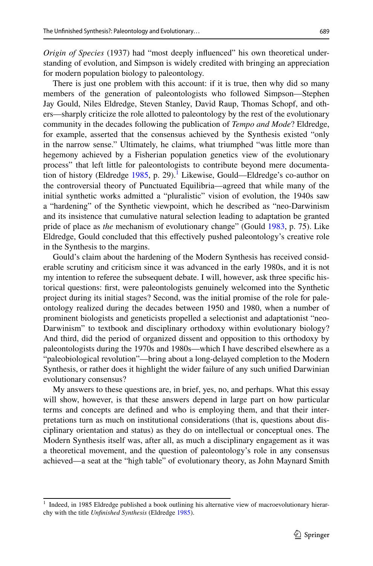*Origin of Species* (1937) had "most deeply infuenced" his own theoretical understanding of evolution, and Simpson is widely credited with bringing an appreciation for modern population biology to paleontology.

There is just one problem with this account: if it is true, then why did so many members of the generation of paleontologists who followed Simpson—Stephen Jay Gould, Niles Eldredge, Steven Stanley, David Raup, Thomas Schopf, and others—sharply criticize the role allotted to paleontology by the rest of the evolutionary community in the decades following the publication of *Tempo and Mode*? Eldredge, for example, asserted that the consensus achieved by the Synthesis existed "only in the narrow sense." Ultimately, he claims, what triumphed "was little more than hegemony achieved by a Fisherian population genetics view of the evolutionary process" that left little for paleontologists to contribute beyond mere documenta-tion of history (Eldredge [1985,](#page-15-3) p. 29).<sup>1</sup> Likewise, Gould—Eldredge's co-author on the controversial theory of Punctuated Equilibria—agreed that while many of the initial synthetic works admitted a "pluralistic" vision of evolution, the 1940s saw a "hardening" of the Synthetic viewpoint, which he described as "neo-Darwinism and its insistence that cumulative natural selection leading to adaptation be granted pride of place as *the* mechanism of evolutionary change" (Gould [1983,](#page-15-4) p. 75). Like Eldredge, Gould concluded that this efectively pushed paleontology's creative role in the Synthesis to the margins.

Gould's claim about the hardening of the Modern Synthesis has received considerable scrutiny and criticism since it was advanced in the early 1980s, and it is not my intention to referee the subsequent debate. I will, however, ask three specifc historical questions: frst, were paleontologists genuinely welcomed into the Synthetic project during its initial stages? Second, was the initial promise of the role for paleontology realized during the decades between 1950 and 1980, when a number of prominent biologists and geneticists propelled a selectionist and adaptationist "neo-Darwinism" to textbook and disciplinary orthodoxy within evolutionary biology? And third, did the period of organized dissent and opposition to this orthodoxy by paleontologists during the 1970s and 1980s—which I have described elsewhere as a "paleobiological revolution"—bring about a long-delayed completion to the Modern Synthesis, or rather does it highlight the wider failure of any such unifed Darwinian evolutionary consensus?

My answers to these questions are, in brief, yes, no, and perhaps. What this essay will show, however, is that these answers depend in large part on how particular terms and concepts are defned and who is employing them, and that their interpretations turn as much on institutional considerations (that is, questions about disciplinary orientation and status) as they do on intellectual or conceptual ones. The Modern Synthesis itself was, after all, as much a disciplinary engagement as it was a theoretical movement, and the question of paleontology's role in any consensus achieved—a seat at the "high table" of evolutionary theory, as John Maynard Smith

<span id="page-2-0"></span><sup>&</sup>lt;sup>1</sup> Indeed, in 1985 Eldredge published a book outlining his alternative view of macroevolutionary hierarchy with the title *Unfnished Synthesis* (Eldredge [1985\)](#page-15-3).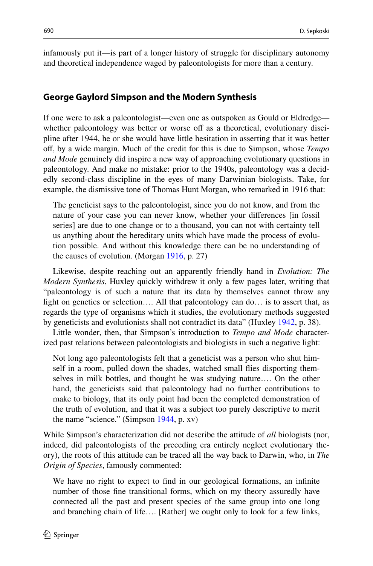infamously put it—is part of a longer history of struggle for disciplinary autonomy and theoretical independence waged by paleontologists for more than a century.

#### **George Gaylord Simpson and the Modern Synthesis**

If one were to ask a paleontologist—even one as outspoken as Gould or Eldredge whether paleontology was better or worse off as a theoretical, evolutionary discipline after 1944, he or she would have little hesitation in asserting that it was better of, by a wide margin. Much of the credit for this is due to Simpson, whose *Tempo and Mode* genuinely did inspire a new way of approaching evolutionary questions in paleontology. And make no mistake: prior to the 1940s, paleontology was a decidedly second-class discipline in the eyes of many Darwinian biologists. Take, for example, the dismissive tone of Thomas Hunt Morgan, who remarked in 1916 that:

The geneticist says to the paleontologist, since you do not know, and from the nature of your case you can never know, whether your diferences [in fossil series] are due to one change or to a thousand, you can not with certainty tell us anything about the hereditary units which have made the process of evolution possible. And without this knowledge there can be no understanding of the causes of evolution. (Morgan [1916](#page-15-5), p. 27)

Likewise, despite reaching out an apparently friendly hand in *Evolution: The Modern Synthesis*, Huxley quickly withdrew it only a few pages later, writing that "paleontology is of such a nature that its data by themselves cannot throw any light on genetics or selection…. All that paleontology can do… is to assert that, as regards the type of organisms which it studies, the evolutionary methods suggested by geneticists and evolutionists shall not contradict its data" (Huxley [1942,](#page-15-0) p. 38).

Little wonder, then, that Simpson's introduction to *Tempo and Mode* characterized past relations between paleontologists and biologists in such a negative light:

Not long ago paleontologists felt that a geneticist was a person who shut himself in a room, pulled down the shades, watched small fies disporting themselves in milk bottles, and thought he was studying nature…. On the other hand, the geneticists said that paleontology had no further contributions to make to biology, that its only point had been the completed demonstration of the truth of evolution, and that it was a subject too purely descriptive to merit the name "science." (Simpson [1944](#page-16-1), p. xv)

While Simpson's characterization did not describe the attitude of *all* biologists (nor, indeed, did paleontologists of the preceding era entirely neglect evolutionary theory), the roots of this attitude can be traced all the way back to Darwin, who, in *The Origin of Species*, famously commented:

We have no right to expect to fnd in our geological formations, an infnite number of those fne transitional forms, which on my theory assuredly have connected all the past and present species of the same group into one long and branching chain of life…. [Rather] we ought only to look for a few links,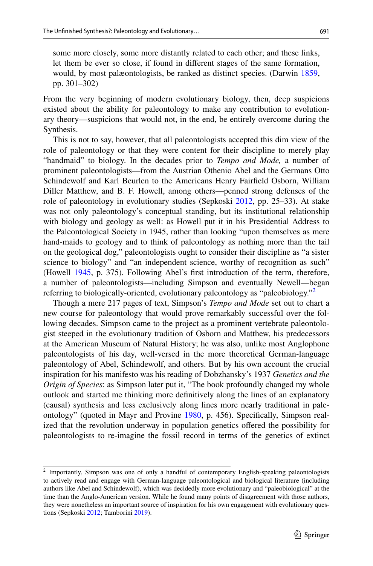some more closely, some more distantly related to each other; and these links, let them be ever so close, if found in diferent stages of the same formation, would, by most palæontologists, be ranked as distinct species. (Darwin [1859,](#page-15-6) pp. 301–302)

From the very beginning of modern evolutionary biology, then, deep suspicions existed about the ability for paleontology to make any contribution to evolutionary theory—suspicions that would not, in the end, be entirely overcome during the Synthesis.

This is not to say, however, that all paleontologists accepted this dim view of the role of paleontology or that they were content for their discipline to merely play "handmaid" to biology. In the decades prior to *Tempo and Mode,* a number of prominent paleontologists—from the Austrian Othenio Abel and the Germans Otto Schindewolf and Karl Beurlen to the Americans Henry Fairfeld Osborn, William Diller Matthew, and B. F. Howell, among others—penned strong defenses of the role of paleontology in evolutionary studies (Sepkoski [2012,](#page-16-0) pp. 25–33). At stake was not only paleontology's conceptual standing, but its institutional relationship with biology and geology as well: as Howell put it in his Presidential Address to the Paleontological Society in 1945, rather than looking "upon themselves as mere hand-maids to geology and to think of paleontology as nothing more than the tail on the geological dog," paleontologists ought to consider their discipline as "a sister science to biology" and "an independent science, worthy of recognition as such" (Howell [1945](#page-15-7), p. 375). Following Abel's frst introduction of the term, therefore, a number of paleontologists—including Simpson and eventually Newell—began referring to biologically-oriented, evolutionary paleontology as "paleobiology."<sup>[2](#page-4-0)</sup>

Though a mere 217 pages of text, Simpson's *Tempo and Mode* set out to chart a new course for paleontology that would prove remarkably successful over the following decades. Simpson came to the project as a prominent vertebrate paleontologist steeped in the evolutionary tradition of Osborn and Matthew, his predecessors at the American Museum of Natural History; he was also, unlike most Anglophone paleontologists of his day, well-versed in the more theoretical German-language paleontology of Abel, Schindewolf, and others. But by his own account the crucial inspiration for his manifesto was his reading of Dobzhansky's 1937 *Genetics and the Origin of Species*: as Simpson later put it, "The book profoundly changed my whole outlook and started me thinking more defnitively along the lines of an explanatory (causal) synthesis and less exclusively along lines more nearly traditional in paleontology" (quoted in Mayr and Provine [1980](#page-15-2), p. 456). Specifcally, Simpson realized that the revolution underway in population genetics ofered the possibility for paleontologists to re-imagine the fossil record in terms of the genetics of extinct

<span id="page-4-0"></span> $2$  Importantly, Simpson was one of only a handful of contemporary English-speaking paleontologists to actively read and engage with German-language paleontological and biological literature (including authors like Abel and Schindewolf), which was decidedly more evolutionary and "paleobiological" at the time than the Anglo-American version. While he found many points of disagreement with those authors, they were nonetheless an important source of inspiration for his own engagement with evolutionary questions (Sepkoski [2012](#page-16-0); Tamborini [2019](#page-16-3)).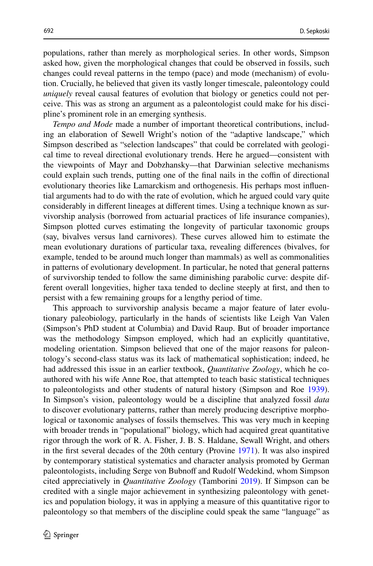populations, rather than merely as morphological series. In other words, Simpson asked how, given the morphological changes that could be observed in fossils, such changes could reveal patterns in the tempo (pace) and mode (mechanism) of evolution. Crucially, he believed that given its vastly longer timescale, paleontology could *uniquely* reveal causal features of evolution that biology or genetics could not perceive. This was as strong an argument as a paleontologist could make for his discipline's prominent role in an emerging synthesis.

*Tempo and Mode* made a number of important theoretical contributions, including an elaboration of Sewell Wright's notion of the "adaptive landscape," which Simpson described as "selection landscapes" that could be correlated with geological time to reveal directional evolutionary trends. Here he argued—consistent with the viewpoints of Mayr and Dobzhansky—that Darwinian selective mechanisms could explain such trends, putting one of the final nails in the coffin of directional evolutionary theories like Lamarckism and orthogenesis. His perhaps most infuential arguments had to do with the rate of evolution, which he argued could vary quite considerably in diferent lineages at diferent times. Using a technique known as survivorship analysis (borrowed from actuarial practices of life insurance companies), Simpson plotted curves estimating the longevity of particular taxonomic groups (say, bivalves versus land carnivores). These curves allowed him to estimate the mean evolutionary durations of particular taxa, revealing diferences (bivalves, for example, tended to be around much longer than mammals) as well as commonalities in patterns of evolutionary development. In particular, he noted that general patterns of survivorship tended to follow the same diminishing parabolic curve: despite different overall longevities, higher taxa tended to decline steeply at frst, and then to persist with a few remaining groups for a lengthy period of time.

This approach to survivorship analysis became a major feature of later evolutionary paleobiology, particularly in the hands of scientists like Leigh Van Valen (Simpson's PhD student at Columbia) and David Raup. But of broader importance was the methodology Simpson employed, which had an explicitly quantitative, modeling orientation. Simpson believed that one of the major reasons for paleontology's second-class status was its lack of mathematical sophistication; indeed, he had addressed this issue in an earlier textbook, *Quantitative Zoology*, which he coauthored with his wife Anne Roe, that attempted to teach basic statistical techniques to paleontologists and other students of natural history (Simpson and Roe [1939\)](#page-16-4). In Simpson's vision, paleontology would be a discipline that analyzed fossil *data* to discover evolutionary patterns, rather than merely producing descriptive morphological or taxonomic analyses of fossils themselves. This was very much in keeping with broader trends in "populational" biology, which had acquired great quantitative rigor through the work of R. A. Fisher, J. B. S. Haldane, Sewall Wright, and others in the frst several decades of the 20th century (Provine [1971](#page-15-8)). It was also inspired by contemporary statistical systematics and character analysis promoted by German paleontologists, including Serge von Bubnoff and Rudolf Wedekind, whom Simpson cited appreciatively in *Quantitative Zoology* (Tamborini [2019](#page-16-3)). If Simpson can be credited with a single major achievement in synthesizing paleontology with genetics and population biology, it was in applying a measure of this quantitative rigor to paleontology so that members of the discipline could speak the same "language" as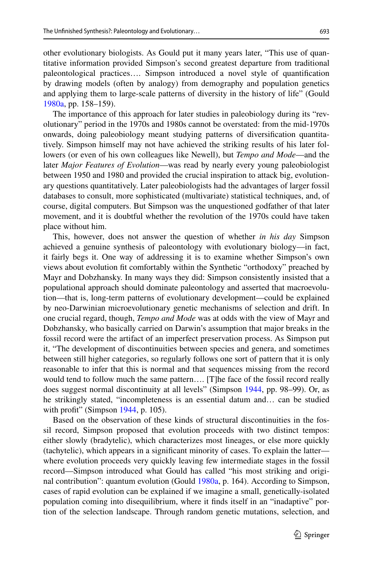other evolutionary biologists. As Gould put it many years later, "This use of quantitative information provided Simpson's second greatest departure from traditional paleontological practices…. Simpson introduced a novel style of quantifcation by drawing models (often by analogy) from demography and population genetics and applying them to large-scale patterns of diversity in the history of life" (Gould [1980a](#page-15-9), pp. 158–159).

The importance of this approach for later studies in paleobiology during its "revolutionary" period in the 1970s and 1980s cannot be overstated: from the mid-1970s onwards, doing paleobiology meant studying patterns of diversifcation quantitatively. Simpson himself may not have achieved the striking results of his later followers (or even of his own colleagues like Newell), but *Tempo and Mode*—and the later *Major Features of Evolution*—was read by nearly every young paleobiologist between 1950 and 1980 and provided the crucial inspiration to attack big, evolutionary questions quantitatively. Later paleobiologists had the advantages of larger fossil databases to consult, more sophisticated (multivariate) statistical techniques, and, of course, digital computers. But Simpson was the unquestioned godfather of that later movement, and it is doubtful whether the revolution of the 1970s could have taken place without him.

This, however, does not answer the question of whether *in his day* Simpson achieved a genuine synthesis of paleontology with evolutionary biology—in fact, it fairly begs it. One way of addressing it is to examine whether Simpson's own views about evolution ft comfortably within the Synthetic "orthodoxy" preached by Mayr and Dobzhansky. In many ways they did: Simpson consistently insisted that a populational approach should dominate paleontology and asserted that macroevolution—that is, long-term patterns of evolutionary development—could be explained by neo-Darwinian microevolutionary genetic mechanisms of selection and drift. In one crucial regard, though, *Tempo and Mode* was at odds with the view of Mayr and Dobzhansky, who basically carried on Darwin's assumption that major breaks in the fossil record were the artifact of an imperfect preservation process. As Simpson put it, "The development of discontinuities between species and genera, and sometimes between still higher categories, so regularly follows one sort of pattern that it is only reasonable to infer that this is normal and that sequences missing from the record would tend to follow much the same pattern…. [T]he face of the fossil record really does suggest normal discontinuity at all levels" (Simpson [1944,](#page-16-1) pp. 98–99). Or, as he strikingly stated, "incompleteness is an essential datum and… can be studied with profit" (Simpson [1944,](#page-16-1) p. 105).

Based on the observation of these kinds of structural discontinuities in the fossil record, Simpson proposed that evolution proceeds with two distinct tempos: either slowly (bradytelic), which characterizes most lineages, or else more quickly (tachytelic), which appears in a signifcant minority of cases. To explain the latter where evolution proceeds very quickly leaving few intermediate stages in the fossil record—Simpson introduced what Gould has called "his most striking and original contribution": quantum evolution (Gould [1980a](#page-15-9), p. 164). According to Simpson, cases of rapid evolution can be explained if we imagine a small, genetically-isolated population coming into disequilibrium, where it fnds itself in an "inadaptive" portion of the selection landscape. Through random genetic mutations, selection, and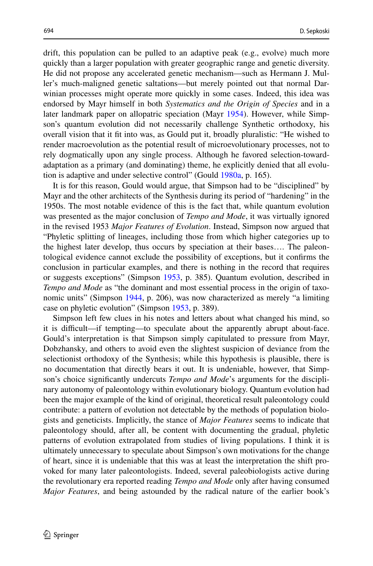drift, this population can be pulled to an adaptive peak (e.g., evolve) much more quickly than a larger population with greater geographic range and genetic diversity. He did not propose any accelerated genetic mechanism—such as Hermann J. Muller's much-maligned genetic saltations—but merely pointed out that normal Darwinian processes might operate more quickly in some cases. Indeed, this idea was endorsed by Mayr himself in both *Systematics and the Origin of Species* and in a later landmark paper on allopatric speciation (Mayr [1954](#page-15-10)). However, while Simpson's quantum evolution did not necessarily challenge Synthetic orthodoxy, his overall vision that it ft into was, as Gould put it, broadly pluralistic: "He wished to render macroevolution as the potential result of microevolutionary processes, not to rely dogmatically upon any single process. Although he favored selection-towardadaptation as a primary (and dominating) theme, he explicitly denied that all evolution is adaptive and under selective control" (Gould [1980a](#page-15-9), p. 165).

It is for this reason, Gould would argue, that Simpson had to be "disciplined" by Mayr and the other architects of the Synthesis during its period of "hardening" in the 1950s. The most notable evidence of this is the fact that, while quantum evolution was presented as the major conclusion of *Tempo and Mode*, it was virtually ignored in the revised 1953 *Major Features of Evolution*. Instead, Simpson now argued that "Phyletic splitting of lineages, including those from which higher categories up to the highest later develop, thus occurs by speciation at their bases…. The paleontological evidence cannot exclude the possibility of exceptions, but it confrms the conclusion in particular examples, and there is nothing in the record that requires or suggests exceptions" (Simpson [1953,](#page-16-5) p. 385). Quantum evolution, described in *Tempo and Mode* as "the dominant and most essential process in the origin of taxonomic units" (Simpson [1944,](#page-16-1) p. 206), was now characterized as merely "a limiting case on phyletic evolution" (Simpson [1953,](#page-16-5) p. 389).

Simpson left few clues in his notes and letters about what changed his mind, so it is difcult—if tempting—to speculate about the apparently abrupt about-face. Gould's interpretation is that Simpson simply capitulated to pressure from Mayr, Dobzhansky, and others to avoid even the slightest suspicion of deviance from the selectionist orthodoxy of the Synthesis; while this hypothesis is plausible, there is no documentation that directly bears it out. It is undeniable, however, that Simpson's choice signifcantly undercuts *Tempo and Mode*'s arguments for the disciplinary autonomy of paleontology within evolutionary biology. Quantum evolution had been the major example of the kind of original, theoretical result paleontology could contribute: a pattern of evolution not detectable by the methods of population biologists and geneticists. Implicitly, the stance of *Major Features* seems to indicate that paleontology should, after all, be content with documenting the gradual, phyletic patterns of evolution extrapolated from studies of living populations. I think it is ultimately unnecessary to speculate about Simpson's own motivations for the change of heart, since it is undeniable that this was at least the interpretation the shift provoked for many later paleontologists. Indeed, several paleobiologists active during the revolutionary era reported reading *Tempo and Mode* only after having consumed *Major Features*, and being astounded by the radical nature of the earlier book's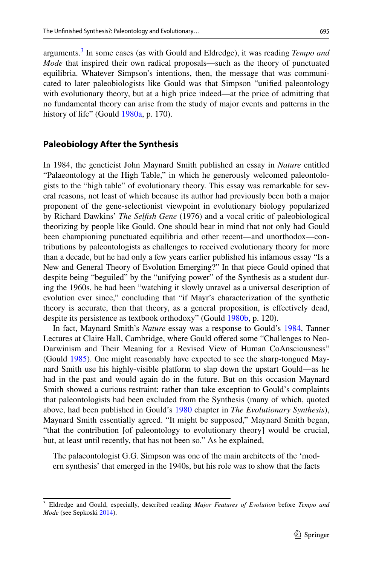arguments.<sup>3</sup> In some cases (as with Gould and Eldredge), it was reading *Tempo and Mode* that inspired their own radical proposals—such as the theory of punctuated equilibria. Whatever Simpson's intentions, then, the message that was communicated to later paleobiologists like Gould was that Simpson "unifed paleontology with evolutionary theory, but at a high price indeed—at the price of admitting that no fundamental theory can arise from the study of major events and patterns in the history of life" (Gould [1980a](#page-15-9), p. 170).

#### **Paleobiology After the Synthesis**

In 1984, the geneticist John Maynard Smith published an essay in *Nature* entitled "Palaeontology at the High Table," in which he generously welcomed paleontologists to the "high table" of evolutionary theory. This essay was remarkable for several reasons, not least of which because its author had previously been both a major proponent of the gene-selectionist viewpoint in evolutionary biology popularized by Richard Dawkins' *The Selfsh Gene* (1976) and a vocal critic of paleobiological theorizing by people like Gould. One should bear in mind that not only had Gould been championing punctuated equilibria and other recent—and unorthodox—contributions by paleontologists as challenges to received evolutionary theory for more than a decade, but he had only a few years earlier published his infamous essay "Is a New and General Theory of Evolution Emerging?" In that piece Gould opined that despite being "beguiled" by the "unifying power" of the Synthesis as a student during the 1960s, he had been "watching it slowly unravel as a universal description of evolution ever since," concluding that "if Mayr's characterization of the synthetic theory is accurate, then that theory, as a general proposition, is efectively dead, despite its persistence as textbook orthodoxy" (Gould [1980b,](#page-15-11) p. 120).

In fact, Maynard Smith's *Nature* essay was a response to Gould's [1984](#page-15-12), Tanner Lectures at Claire Hall, Cambridge, where Gould ofered some "Challenges to Neo-Darwinism and Their Meaning for a Revised View of Human CoAnsciousness" (Gould [1985\)](#page-15-13). One might reasonably have expected to see the sharp-tongued Maynard Smith use his highly-visible platform to slap down the upstart Gould—as he had in the past and would again do in the future. But on this occasion Maynard Smith showed a curious restraint: rather than take exception to Gould's complaints that paleontologists had been excluded from the Synthesis (many of which, quoted above, had been published in Gould's [1980](#page-15-11) chapter in *The Evolutionary Synthesis*), Maynard Smith essentially agreed. "It might be supposed," Maynard Smith began, "that the contribution [of paleontology to evolutionary theory] would be crucial, but, at least until recently, that has not been so." As he explained,

The palaeontologist G.G. Simpson was one of the main architects of the 'modern synthesis' that emerged in the 1940s, but his role was to show that the facts

<span id="page-8-0"></span><sup>3</sup> Eldredge and Gould, especially, described reading *Major Features of Evolution* before *Tempo and Mode* (see Sepkoski [2014](#page-16-6)).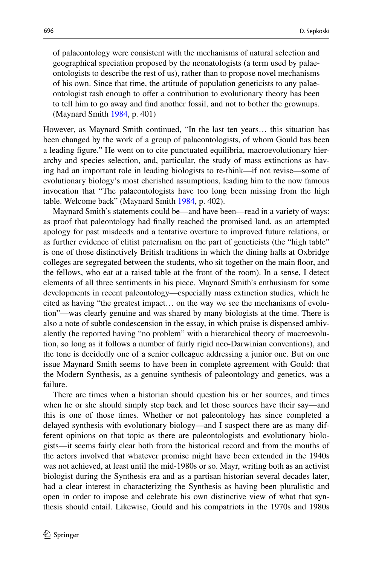of palaeontology were consistent with the mechanisms of natural selection and geographical speciation proposed by the neonatologists (a term used by palaeontologists to describe the rest of us), rather than to propose novel mechanisms of his own. Since that time, the attitude of population geneticists to any palaeontologist rash enough to offer a contribution to evolutionary theory has been to tell him to go away and fnd another fossil, and not to bother the grownups. (Maynard Smith [1984](#page-15-14), p. 401)

However, as Maynard Smith continued, "In the last ten years… this situation has been changed by the work of a group of palaeontologists, of whom Gould has been a leading fgure." He went on to cite punctuated equilibria, macroevolutionary hierarchy and species selection, and, particular, the study of mass extinctions as having had an important role in leading biologists to re-think—if not revise—some of evolutionary biology's most cherished assumptions, leading him to the now famous invocation that "The palaeontologists have too long been missing from the high table. Welcome back" (Maynard Smith [1984,](#page-15-14) p. 402).

Maynard Smith's statements could be—and have been—read in a variety of ways: as proof that paleontology had fnally reached the promised land, as an attempted apology for past misdeeds and a tentative overture to improved future relations, or as further evidence of elitist paternalism on the part of geneticists (the "high table" is one of those distinctively British traditions in which the dining halls at Oxbridge colleges are segregated between the students, who sit together on the main foor, and the fellows, who eat at a raised table at the front of the room). In a sense, I detect elements of all three sentiments in his piece. Maynard Smith's enthusiasm for some developments in recent paleontology—especially mass extinction studies, which he cited as having "the greatest impact… on the way we see the mechanisms of evolution"—was clearly genuine and was shared by many biologists at the time. There is also a note of subtle condescension in the essay, in which praise is dispensed ambivalently (he reported having "no problem" with a hierarchical theory of macroevolution, so long as it follows a number of fairly rigid neo-Darwinian conventions), and the tone is decidedly one of a senior colleague addressing a junior one. But on one issue Maynard Smith seems to have been in complete agreement with Gould: that the Modern Synthesis, as a genuine synthesis of paleontology and genetics, was a failure.

There are times when a historian should question his or her sources, and times when he or she should simply step back and let those sources have their say—and this is one of those times. Whether or not paleontology has since completed a delayed synthesis with evolutionary biology—and I suspect there are as many different opinions on that topic as there are paleontologists and evolutionary biologists—it seems fairly clear both from the historical record and from the mouths of the actors involved that whatever promise might have been extended in the 1940s was not achieved, at least until the mid-1980s or so. Mayr, writing both as an activist biologist during the Synthesis era and as a partisan historian several decades later, had a clear interest in characterizing the Synthesis as having been pluralistic and open in order to impose and celebrate his own distinctive view of what that synthesis should entail. Likewise, Gould and his compatriots in the 1970s and 1980s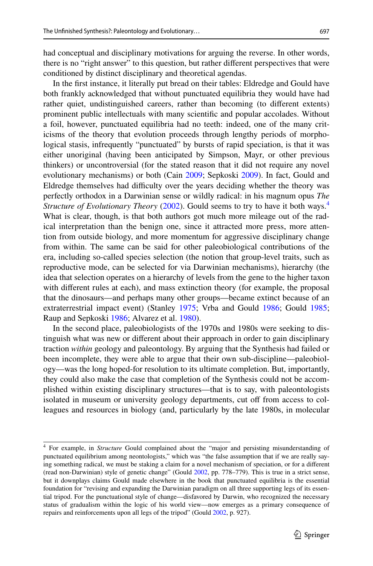had conceptual and disciplinary motivations for arguing the reverse. In other words, there is no "right answer" to this question, but rather diferent perspectives that were conditioned by distinct disciplinary and theoretical agendas.

In the frst instance, it literally put bread on their tables: Eldredge and Gould have both frankly acknowledged that without punctuated equilibria they would have had rather quiet, undistinguished careers, rather than becoming (to diferent extents) prominent public intellectuals with many scientifc and popular accolades. Without a foil, however, punctuated equilibria had no teeth: indeed, one of the many criticisms of the theory that evolution proceeds through lengthy periods of morphological stasis, infrequently "punctuated" by bursts of rapid speciation, is that it was either unoriginal (having been anticipated by Simpson, Mayr, or other previous thinkers) or uncontroversial (for the stated reason that it did not require any novel evolutionary mechanisms) or both (Cain [2009;](#page-15-15) Sepkoski [2009](#page-16-7)). In fact, Gould and Eldredge themselves had difficulty over the years deciding whether the theory was perfectly orthodox in a Darwinian sense or wildly radical: in his magnum opus *The Structure of Evolutionary Theory* [\(2002](#page-15-16)). Gould seems to try to have it both ways.<sup>[4](#page-10-0)</sup> What is clear, though, is that both authors got much more mileage out of the radical interpretation than the benign one, since it attracted more press, more attention from outside biology, and more momentum for aggressive disciplinary change from within. The same can be said for other paleobiological contributions of the era, including so-called species selection (the notion that group-level traits, such as reproductive mode, can be selected for via Darwinian mechanisms), hierarchy (the idea that selection operates on a hierarchy of levels from the gene to the higher taxon with diferent rules at each), and mass extinction theory (for example, the proposal that the dinosaurs—and perhaps many other groups—became extinct because of an extraterrestrial impact event) (Stanley [1975;](#page-16-8) Vrba and Gould [1986](#page-16-9); Gould [1985;](#page-15-13) Raup and Sepkoski [1986;](#page-15-17) Alvarez et al. [1980](#page-15-18)).

In the second place, paleobiologists of the 1970s and 1980s were seeking to distinguish what was new or diferent about their approach in order to gain disciplinary traction *within* geology and paleontology. By arguing that the Synthesis had failed or been incomplete, they were able to argue that their own sub-discipline—paleobiology—was the long hoped-for resolution to its ultimate completion. But, importantly, they could also make the case that completion of the Synthesis could not be accomplished within existing disciplinary structures—that is to say, with paleontologists isolated in museum or university geology departments, cut off from access to colleagues and resources in biology (and, particularly by the late 1980s, in molecular

<span id="page-10-0"></span><sup>4</sup> For example, in *Structure* Gould complained about the "major and persisting misunderstanding of punctuated equilibrium among neontologists," which was "the false assumption that if we are really saying something radical, we must be staking a claim for a novel mechanism of speciation, or for a diferent (read non-Darwinian) style of genetic change" (Gould [2002,](#page-15-16) pp. 778–779). This is true in a strict sense, but it downplays claims Gould made elsewhere in the book that punctuated equilibria is the essential foundation for "revising and expanding the Darwinian paradigm on all three supporting legs of its essential tripod. For the punctuational style of change—disfavored by Darwin, who recognized the necessary status of gradualism within the logic of his world view—now emerges as a primary consequence of repairs and reinforcements upon all legs of the tripod" (Gould [2002,](#page-15-16) p. 927).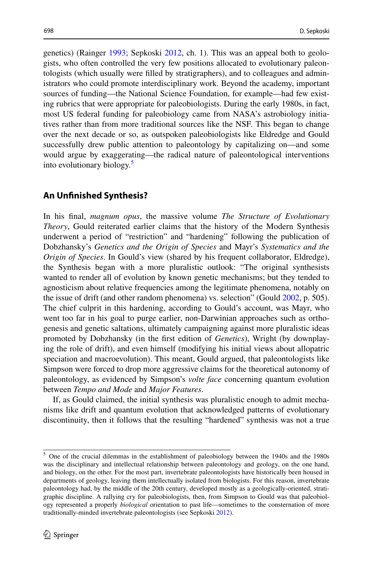genetics) (Rainger [1993](#page-15-19); Sepkoski [2012](#page-16-0), ch. 1). This was an appeal both to geologists, who often controlled the very few positions allocated to evolutionary paleontologists (which usually were flled by stratigraphers), and to colleagues and administrators who could promote interdisciplinary work. Beyond the academy, important sources of funding—the National Science Foundation, for example—had few existing rubrics that were appropriate for paleobiologists. During the early 1980s, in fact, most US federal funding for paleobiology came from NASA's astrobiology initiatives rather than from more traditional sources like the NSF. This began to change over the next decade or so, as outspoken paleobiologists like Eldredge and Gould successfully drew public attention to paleontology by capitalizing on—and some would argue by exaggerating—the radical nature of paleontological interventions into evolutionary biology[.5](#page-11-0)

## **An Unfnished Synthesis?**

In his fnal, *magnum opus*, the massive volume *The Structure of Evolutionary Theory*, Gould reiterated earlier claims that the history of the Modern Synthesis underwent a period of "restriction" and "hardening" following the publication of Dobzhansky's *Genetics and the Origin of Species* and Mayr's *Systematics and the Origin of Species*. In Gould's view (shared by his frequent collaborator, Eldredge), the Synthesis began with a more pluralistic outlook: "The original synthesists wanted to render all of evolution by known genetic mechanisms; but they tended to agnosticism about relative frequencies among the legitimate phenomena, notably on the issue of drift (and other random phenomena) vs. selection" (Gould [2002,](#page-15-16) p. 505). The chief culprit in this hardening, according to Gould's account, was Mayr, who went too far in his goal to purge earlier, non-Darwinian approaches such as orthogenesis and genetic saltations, ultimately campaigning against more pluralistic ideas promoted by Dobzhansky (in the frst edition of *Genetics*), Wright (by downplaying the role of drift), and even himself (modifying his initial views about allopatric speciation and macroevolution). This meant, Gould argued, that paleontologists like Simpson were forced to drop more aggressive claims for the theoretical autonomy of paleontology, as evidenced by Simpson's *volte face* concerning quantum evolution between *Tempo and Mode* and *Major Features*.

If, as Gould claimed, the initial synthesis was pluralistic enough to admit mechanisms like drift and quantum evolution that acknowledged patterns of evolutionary discontinuity, then it follows that the resulting "hardened" synthesis was not a true

<span id="page-11-0"></span><sup>5</sup> One of the crucial dilemmas in the establishment of paleobiology between the 1940s and the 1980s was the disciplinary and intellectual relationship between paleontology and geology, on the one hand, and biology, on the other. For the most part, invertebrate paleontologists have historically been housed in departments of geology, leaving them intellectually isolated from biologists. For this reason, invertebrate paleontology had, by the middle of the 20th century, developed mostly as a geologically-oriented, stratigraphic discipline. A rallying cry for paleobiologists, then, from Simpson to Gould was that paleobiology represented a properly *biological* orientation to past life—sometimes to the consternation of more traditionally-minded invertebrate paleontologists (see Sepkoski [2012\)](#page-16-0).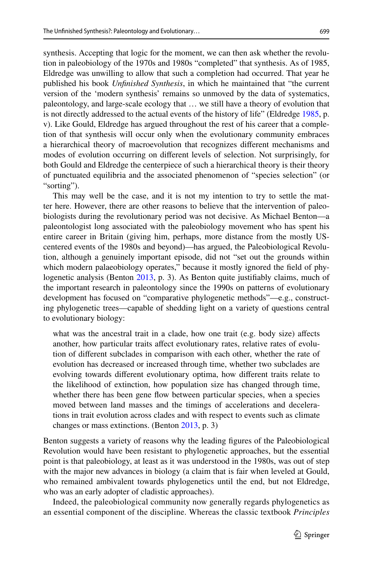synthesis. Accepting that logic for the moment, we can then ask whether the revolution in paleobiology of the 1970s and 1980s "completed" that synthesis. As of 1985, Eldredge was unwilling to allow that such a completion had occurred. That year he published his book *Unfnished Synthesis*, in which he maintained that "the current version of the 'modern synthesis' remains so unmoved by the data of systematics, paleontology, and large-scale ecology that … we still have a theory of evolution that is not directly addressed to the actual events of the history of life" (Eldredge [1985,](#page-15-3) p. v). Like Gould, Eldredge has argued throughout the rest of his career that a completion of that synthesis will occur only when the evolutionary community embraces a hierarchical theory of macroevolution that recognizes diferent mechanisms and modes of evolution occurring on diferent levels of selection. Not surprisingly, for both Gould and Eldredge the centerpiece of such a hierarchical theory is their theory of punctuated equilibria and the associated phenomenon of "species selection" (or "sorting").

This may well be the case, and it is not my intention to try to settle the matter here. However, there are other reasons to believe that the intervention of paleobiologists during the revolutionary period was not decisive. As Michael Benton—a paleontologist long associated with the paleobiology movement who has spent his entire career in Britain (giving him, perhaps, more distance from the mostly UScentered events of the 1980s and beyond)—has argued, the Paleobiological Revolution, although a genuinely important episode, did not "set out the grounds within which modern palaeobiology operates," because it mostly ignored the field of phylogenetic analysis (Benton [2013,](#page-15-20) p. 3). As Benton quite justifably claims, much of the important research in paleontology since the 1990s on patterns of evolutionary development has focused on "comparative phylogenetic methods"—e.g., constructing phylogenetic trees—capable of shedding light on a variety of questions central to evolutionary biology:

what was the ancestral trait in a clade, how one trait (e.g. body size) affects another, how particular traits affect evolutionary rates, relative rates of evolution of diferent subclades in comparison with each other, whether the rate of evolution has decreased or increased through time, whether two subclades are evolving towards diferent evolutionary optima, how diferent traits relate to the likelihood of extinction, how population size has changed through time, whether there has been gene flow between particular species, when a species moved between land masses and the timings of accelerations and decelerations in trait evolution across clades and with respect to events such as climate changes or mass extinctions. (Benton [2013](#page-15-20), p. 3)

Benton suggests a variety of reasons why the leading fgures of the Paleobiological Revolution would have been resistant to phylogenetic approaches, but the essential point is that paleobiology, at least as it was understood in the 1980s, was out of step with the major new advances in biology (a claim that is fair when leveled at Gould, who remained ambivalent towards phylogenetics until the end, but not Eldredge, who was an early adopter of cladistic approaches).

Indeed, the paleobiological community now generally regards phylogenetics as an essential component of the discipline. Whereas the classic textbook *Principles*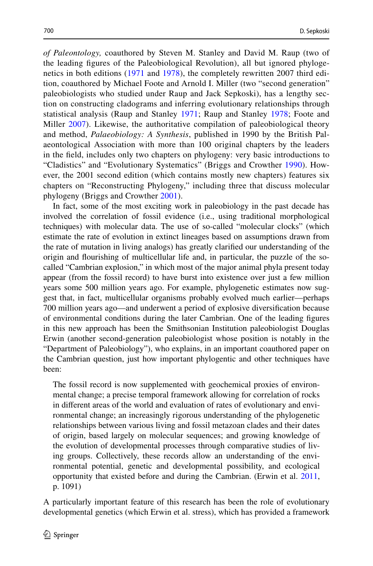*of Paleontology,* coauthored by Steven M. Stanley and David M. Raup (two of the leading fgures of the Paleobiological Revolution), all but ignored phylogenetics in both editions ([1971](#page-15-21) and [1978](#page-16-10)), the completely rewritten 2007 third edition, coauthored by Michael Foote and Arnold I. Miller (two "second generation" paleobiologists who studied under Raup and Jack Sepkoski), has a lengthy section on constructing cladograms and inferring evolutionary relationships through statistical analysis (Raup and Stanley [1971;](#page-15-21) Raup and Stanley [1978;](#page-16-10) Foote and Miller [2007](#page-15-22)). Likewise, the authoritative compilation of paleobiological theory and method, *Palaeobiology: A Synthesis*, published in 1990 by the British Palaeontological Association with more than 100 original chapters by the leaders in the feld, includes only two chapters on phylogeny: very basic introductions to "Cladistics" and "Evolutionary Systematics" (Briggs and Crowther [1990](#page-15-23)). However, the 2001 second edition (which contains mostly new chapters) features six chapters on "Reconstructing Phylogeny," including three that discuss molecular phylogeny (Briggs and Crowther [2001\)](#page-15-24).

In fact, some of the most exciting work in paleobiology in the past decade has involved the correlation of fossil evidence (i.e., using traditional morphological techniques) with molecular data. The use of so-called "molecular clocks" (which estimate the rate of evolution in extinct lineages based on assumptions drawn from the rate of mutation in living analogs) has greatly clarifed our understanding of the origin and fourishing of multicellular life and, in particular, the puzzle of the socalled "Cambrian explosion," in which most of the major animal phyla present today appear (from the fossil record) to have burst into existence over just a few million years some 500 million years ago. For example, phylogenetic estimates now suggest that, in fact, multicellular organisms probably evolved much earlier—perhaps 700 million years ago—and underwent a period of explosive diversifcation because of environmental conditions during the later Cambrian. One of the leading fgures in this new approach has been the Smithsonian Institution paleobiologist Douglas Erwin (another second-generation paleobiologist whose position is notably in the "Department of Paleobiology"), who explains, in an important coauthored paper on the Cambrian question, just how important phylogentic and other techniques have been:

The fossil record is now supplemented with geochemical proxies of environmental change; a precise temporal framework allowing for correlation of rocks in diferent areas of the world and evaluation of rates of evolutionary and environmental change; an increasingly rigorous understanding of the phylogenetic relationships between various living and fossil metazoan clades and their dates of origin, based largely on molecular sequences; and growing knowledge of the evolution of developmental processes through comparative studies of living groups. Collectively, these records allow an understanding of the environmental potential, genetic and developmental possibility, and ecological opportunity that existed before and during the Cambrian. (Erwin et al. [2011,](#page-15-25) p. 1091)

A particularly important feature of this research has been the role of evolutionary developmental genetics (which Erwin et al. stress), which has provided a framework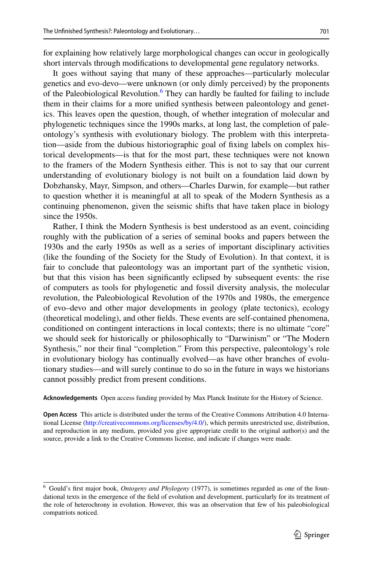for explaining how relatively large morphological changes can occur in geologically short intervals through modifcations to developmental gene regulatory networks.

It goes without saying that many of these approaches—particularly molecular genetics and evo-devo—were unknown (or only dimly perceived) by the proponents of the Paleobiological Revolution.<sup>[6](#page-14-0)</sup> They can hardly be faulted for failing to include them in their claims for a more unifed synthesis between paleontology and genetics. This leaves open the question, though, of whether integration of molecular and phylogenetic techniques since the 1990s marks, at long last, the completion of paleontology's synthesis with evolutionary biology. The problem with this interpretation—aside from the dubious historiographic goal of fxing labels on complex historical developments—is that for the most part, these techniques were not known to the framers of the Modern Synthesis either. This is not to say that our current understanding of evolutionary biology is not built on a foundation laid down by Dobzhansky, Mayr, Simpson, and others—Charles Darwin, for example—but rather to question whether it is meaningful at all to speak of the Modern Synthesis as a continuing phenomenon, given the seismic shifts that have taken place in biology since the 1950s.

Rather, I think the Modern Synthesis is best understood as an event, coinciding roughly with the publication of a series of seminal books and papers between the 1930s and the early 1950s as well as a series of important disciplinary activities (like the founding of the Society for the Study of Evolution). In that context, it is fair to conclude that paleontology was an important part of the synthetic vision, but that this vision has been signifcantly eclipsed by subsequent events: the rise of computers as tools for phylogenetic and fossil diversity analysis, the molecular revolution, the Paleobiological Revolution of the 1970s and 1980s, the emergence of evo–devo and other major developments in geology (plate tectonics), ecology (theoretical modeling), and other felds. These events are self-contained phenomena, conditioned on contingent interactions in local contexts; there is no ultimate "core" we should seek for historically or philosophically to "Darwinism" or "The Modern Synthesis," nor their fnal "completion." From this perspective, paleontology's role in evolutionary biology has continually evolved—as have other branches of evolutionary studies—and will surely continue to do so in the future in ways we historians cannot possibly predict from present conditions.

**Acknowledgements** Open access funding provided by Max Planck Institute for the History of Science.

**Open Access** This article is distributed under the terms of the Creative Commons Attribution 4.0 International License ([http://creativecommons.org/licenses/by/4.0/\)](http://creativecommons.org/licenses/by/4.0/), which permits unrestricted use, distribution, and reproduction in any medium, provided you give appropriate credit to the original author(s) and the source, provide a link to the Creative Commons license, and indicate if changes were made.

<span id="page-14-0"></span><sup>6</sup> Gould's frst major book, *Ontogeny and Phylogeny* (1977), is sometimes regarded as one of the foundational texts in the emergence of the feld of evolution and development, particularly for its treatment of the role of heterochrony in evolution. However, this was an observation that few of his paleobiological compatriots noticed.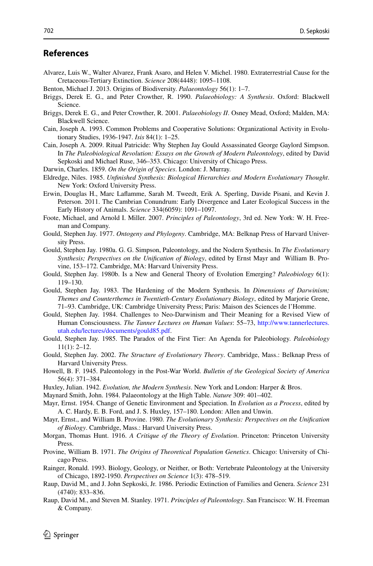#### **References**

- <span id="page-15-18"></span>Alvarez, Luis W., Walter Alvarez, Frank Asaro, and Helen V. Michel. 1980. Extraterrestrial Cause for the Cretaceous-Tertiary Extinction. *Science* 208(4448): 1095–1108.
- <span id="page-15-20"></span>Benton, Michael J. 2013. Origins of Biodiversity. *Palaeontology* 56(1): 1–7.
- <span id="page-15-23"></span>Briggs, Derek E. G., and Peter Crowther, R. 1990. *Palaeobiology: A Synthesis*. Oxford: Blackwell Science.
- <span id="page-15-24"></span>Briggs, Derek E. G., and Peter Crowther, R. 2001. *Palaeobiology II*. Osney Mead, Oxford; Malden, MA: Blackwell Science.
- <span id="page-15-1"></span>Cain, Joseph A. 1993. Common Problems and Cooperative Solutions: Organizational Activity in Evolutionary Studies, 1936-1947. *Isis* 84(1): 1–25.
- <span id="page-15-15"></span>Cain, Joseph A. 2009. Ritual Patricide: Why Stephen Jay Gould Assassinated George Gaylord Simpson. In *The Paleobiological Revolution: Essays on the Growth of Modern Paleontology*, edited by David Sepkoski and Michael Ruse, 346–353. Chicago: University of Chicago Press.
- <span id="page-15-6"></span>Darwin, Charles. 1859. *On the Origin of Species*. London: J. Murray.
- <span id="page-15-3"></span>Eldredge, Niles. 1985. *Unfnished Synthesis: Biological Hierarchies and Modern Evolutionary Thought*. New York: Oxford University Press.
- <span id="page-15-25"></span>Erwin, Douglas H., Marc Lafamme, Sarah M. Tweedt, Erik A. Sperling, Davide Pisani, and Kevin J. Peterson. 2011. The Cambrian Conundrum: Early Divergence and Later Ecological Success in the Early History of Animals. *Science* 334(6059): 1091–1097.
- <span id="page-15-22"></span>Foote, Michael, and Arnold I. Miller. 2007. *Principles of Paleontology*, 3rd ed. New York: W. H. Freeman and Company.
- Gould, Stephen Jay. 1977. *Ontogeny and Phylogeny*. Cambridge, MA: Belknap Press of Harvard University Press.
- <span id="page-15-9"></span>Gould, Stephen Jay. 1980a. G. G. Simpson, Paleontology, and the Nodern Synthesis. In *The Evolutionary Synthesis; Perspectives on the Unifcation of Biology*, edited by Ernst Mayr and William B. Provine, 153–172. Cambridge, MA: Harvard University Press.
- <span id="page-15-11"></span>Gould, Stephen Jay. 1980b. Is a New and General Theory of Evolution Emerging? *Paleobiology* 6(1): 119–130.
- <span id="page-15-4"></span>Gould, Stephen Jay. 1983. The Hardening of the Modern Synthesis. In *Dimensions of Darwinism; Themes and Counterthemes in Twentieth-Century Evolutionary Biology*, edited by Marjorie Grene, 71–93. Cambridge, UK: Cambridge University Press; Paris: Maison des Sciences de l'Homme.
- <span id="page-15-12"></span>Gould, Stephen Jay. 1984. Challenges to Neo-Darwinism and Their Meaning for a Revised View of Human Consciousness. *The Tanner Lectures on Human Values*: 55–73, [http://www.tannerlectures.](http://www.tannerlectures.utah.edu/lectures/documents/gould85.pdf) [utah.edu/lectures/documents/gould85.pdf.](http://www.tannerlectures.utah.edu/lectures/documents/gould85.pdf)
- <span id="page-15-13"></span>Gould, Stephen Jay. 1985. The Paradox of the First Tier: An Agenda for Paleobiology. *Paleobiology* 11(1): 2–12.
- <span id="page-15-16"></span>Gould, Stephen Jay. 2002. *The Structure of Evolutionary Theory*. Cambridge, Mass.: Belknap Press of Harvard University Press.
- <span id="page-15-7"></span>Howell, B. F. 1945. Paleontology in the Post-War World. *Bulletin of the Geological Society of America* 56(4): 371–384.
- <span id="page-15-0"></span>Huxley, Julian. 1942. *Evolution, the Modern Synthesis*. New York and London: Harper & Bros.
- <span id="page-15-14"></span>Maynard Smith, John. 1984. Palaeontology at the High Table. *Nature* 309: 401–402.
- <span id="page-15-10"></span>Mayr, Ernst. 1954. Change of Genetic Environment and Speciation. In *Evolution as a Process*, edited by A. C. Hardy, E. B. Ford, and J. S. Huxley, 157–180. London: Allen and Unwin.
- <span id="page-15-2"></span>Mayr, Ernst., and William B. Provine. 1980. *The Evolutionary Synthesis: Perspectives on the Unifcation of Biology*. Cambridge, Mass.: Harvard University Press.
- <span id="page-15-5"></span>Morgan, Thomas Hunt. 1916. *A Critique of the Theory of Evolution*. Princeton: Princeton University Press.
- <span id="page-15-8"></span>Provine, William B. 1971. *The Origins of Theoretical Population Genetics*. Chicago: University of Chicago Press.
- <span id="page-15-19"></span>Rainger, Ronald. 1993. Biology, Geology, or Neither, or Both: Vertebrate Paleontology at the University of Chicago, 1892-1950. *Perspectives on Science* 1(3): 478–519.
- <span id="page-15-17"></span>Raup, David M., and J. John Sepkoski, Jr. 1986. Periodic Extinction of Families and Genera. *Science* 231 (4740): 833–836.
- <span id="page-15-21"></span>Raup, David M., and Steven M. Stanley. 1971. *Principles of Paleontology*. San Francisco: W. H. Freeman & Company.